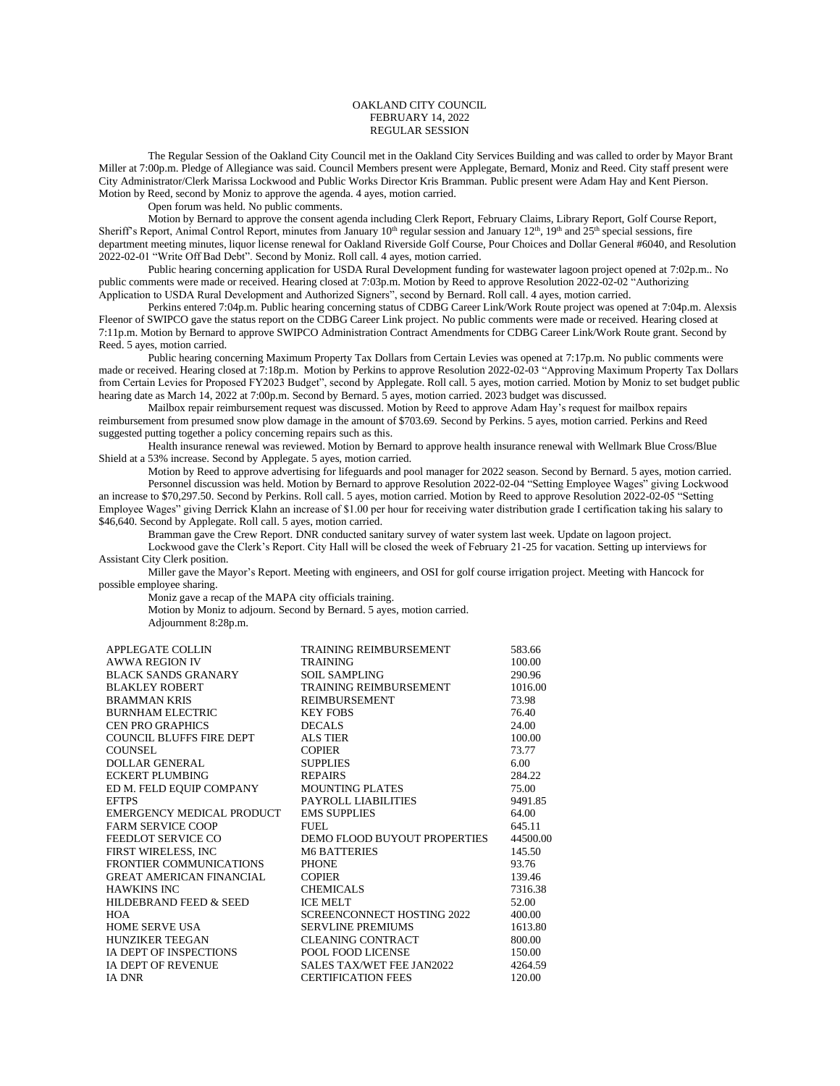## OAKLAND CITY COUNCIL FEBRUARY 14, 2022 REGULAR SESSION

The Regular Session of the Oakland City Council met in the Oakland City Services Building and was called to order by Mayor Brant Miller at 7:00p.m. Pledge of Allegiance was said. Council Members present were Applegate, Bernard, Moniz and Reed. City staff present were City Administrator/Clerk Marissa Lockwood and Public Works Director Kris Bramman. Public present were Adam Hay and Kent Pierson. Motion by Reed, second by Moniz to approve the agenda. 4 ayes, motion carried.

Open forum was held. No public comments.

Motion by Bernard to approve the consent agenda including Clerk Report, February Claims, Library Report, Golf Course Report, Sheriff's Report, Animal Control Report, minutes from January  $10<sup>th</sup>$  regular session and January  $12<sup>th</sup>$ ,  $19<sup>th</sup>$  and  $25<sup>th</sup>$  special sessions, fire department meeting minutes, liquor license renewal for Oakland Riverside Golf Course, Pour Choices and Dollar General #6040, and Resolution 2022-02-01 "Write Off Bad Debt". Second by Moniz. Roll call. 4 ayes, motion carried.

Public hearing concerning application for USDA Rural Development funding for wastewater lagoon project opened at 7:02p.m.. No public comments were made or received. Hearing closed at 7:03p.m. Motion by Reed to approve Resolution 2022-02-02 "Authorizing Application to USDA Rural Development and Authorized Signers", second by Bernard. Roll call. 4 ayes, motion carried.

Perkins entered 7:04p.m. Public hearing concerning status of CDBG Career Link/Work Route project was opened at 7:04p.m. Alexsis Fleenor of SWIPCO gave the status report on the CDBG Career Link project. No public comments were made or received. Hearing closed at 7:11p.m. Motion by Bernard to approve SWIPCO Administration Contract Amendments for CDBG Career Link/Work Route grant. Second by Reed. 5 ayes, motion carried.

Public hearing concerning Maximum Property Tax Dollars from Certain Levies was opened at 7:17p.m. No public comments were made or received. Hearing closed at 7:18p.m. Motion by Perkins to approve Resolution 2022-02-03 "Approving Maximum Property Tax Dollars from Certain Levies for Proposed FY2023 Budget", second by Applegate. Roll call. 5 ayes, motion carried. Motion by Moniz to set budget public hearing date as March 14, 2022 at 7:00p.m. Second by Bernard. 5 ayes, motion carried. 2023 budget was discussed.

Mailbox repair reimbursement request was discussed. Motion by Reed to approve Adam Hay's request for mailbox repairs reimbursement from presumed snow plow damage in the amount of \$703.69. Second by Perkins. 5 ayes, motion carried. Perkins and Reed suggested putting together a policy concerning repairs such as this.

Health insurance renewal was reviewed. Motion by Bernard to approve health insurance renewal with Wellmark Blue Cross/Blue Shield at a 53% increase. Second by Applegate. 5 ayes, motion carried.

Motion by Reed to approve advertising for lifeguards and pool manager for 2022 season. Second by Bernard. 5 ayes, motion carried. Personnel discussion was held. Motion by Bernard to approve Resolution 2022-02-04 "Setting Employee Wages" giving Lockwood an increase to \$70,297.50. Second by Perkins. Roll call. 5 ayes, motion carried. Motion by Reed to approve Resolution 2022-02-05 "Setting Employee Wages" giving Derrick Klahn an increase of \$1.00 per hour for receiving water distribution grade I certification taking his salary to \$46,640. Second by Applegate. Roll call. 5 ayes, motion carried.

Bramman gave the Crew Report. DNR conducted sanitary survey of water system last week. Update on lagoon project.

Lockwood gave the Clerk's Report. City Hall will be closed the week of February 21-25 for vacation. Setting up interviews for Assistant City Clerk position.

Miller gave the Mayor's Report. Meeting with engineers, and OSI for golf course irrigation project. Meeting with Hancock for possible employee sharing.

Moniz gave a recap of the MAPA city officials training. Motion by Moniz to adjourn. Second by Bernard. 5 ayes, motion carried. Adjournment 8:28p.m.

| APPLEGATE COLLIN                | TRAINING REIMBURSEMENT            | 583.66   |
|---------------------------------|-----------------------------------|----------|
| <b>AWWA REGION IV</b>           | <b>TRAINING</b>                   | 100.00   |
| <b>BLACK SANDS GRANARY</b>      | <b>SOIL SAMPLING</b>              | 290.96   |
| <b>BLAKLEY ROBERT</b>           | <b>TRAINING REIMBURSEMENT</b>     | 1016.00  |
| <b>BRAMMAN KRIS</b>             | <b>REIMBURSEMENT</b>              | 73.98    |
| <b>BURNHAM ELECTRIC</b>         | <b>KEY FOBS</b>                   | 76.40    |
| <b>CEN PRO GRAPHICS</b>         | <b>DECALS</b>                     | 24.00    |
| COUNCIL BLUFFS FIRE DEPT        | ALS TIER                          | 100.00   |
| <b>COUNSEL</b>                  | <b>COPIER</b>                     | 73.77    |
| DOLLAR GENERAL                  | <b>SUPPLIES</b>                   | 6.00     |
| <b>ECKERT PLUMBING</b>          | <b>REPAIRS</b>                    | 284.22   |
| ED M. FELD EQUIP COMPANY        | <b>MOUNTING PLATES</b>            | 75.00    |
| <b>EFTPS</b>                    | PAYROLL LIABILITIES               | 9491.85  |
| EMERGENCY MEDICAL PRODUCT       | <b>EMS SUPPLIES</b>               | 64.00    |
| <b>FARM SERVICE COOP</b>        | FUEL.                             | 645.11   |
| FEEDLOT SERVICE CO              | DEMO FLOOD BUYOUT PROPERTIES      | 44500.00 |
| FIRST WIRELESS, INC             | <b>M6 BATTERIES</b>               | 145.50   |
| FRONTIER COMMUNICATIONS         | <b>PHONE</b>                      | 93.76    |
| <b>GREAT AMERICAN FINANCIAL</b> | <b>COPIER</b>                     | 139.46   |
| <b>HAWKINS INC</b>              | <b>CHEMICALS</b>                  | 7316.38  |
| HILDEBRAND FEED & SEED          | <b>ICE MELT</b>                   | 52.00    |
| <b>HOA</b>                      | <b>SCREENCONNECT HOSTING 2022</b> | 400.00   |
| HOME SERVE USA                  | <b>SERVLINE PREMIUMS</b>          | 1613.80  |
| <b>HUNZIKER TEEGAN</b>          | CLEANING CONTRACT                 | 800.00   |
| IA DEPT OF INSPECTIONS          | POOL FOOD LICENSE                 | 150.00   |
| <b>IA DEPT OF REVENUE</b>       | <b>SALES TAX/WET FEE JAN2022</b>  | 4264.59  |
| <b>IA DNR</b>                   | <b>CERTIFICATION FEES</b>         | 120.00   |
|                                 |                                   |          |